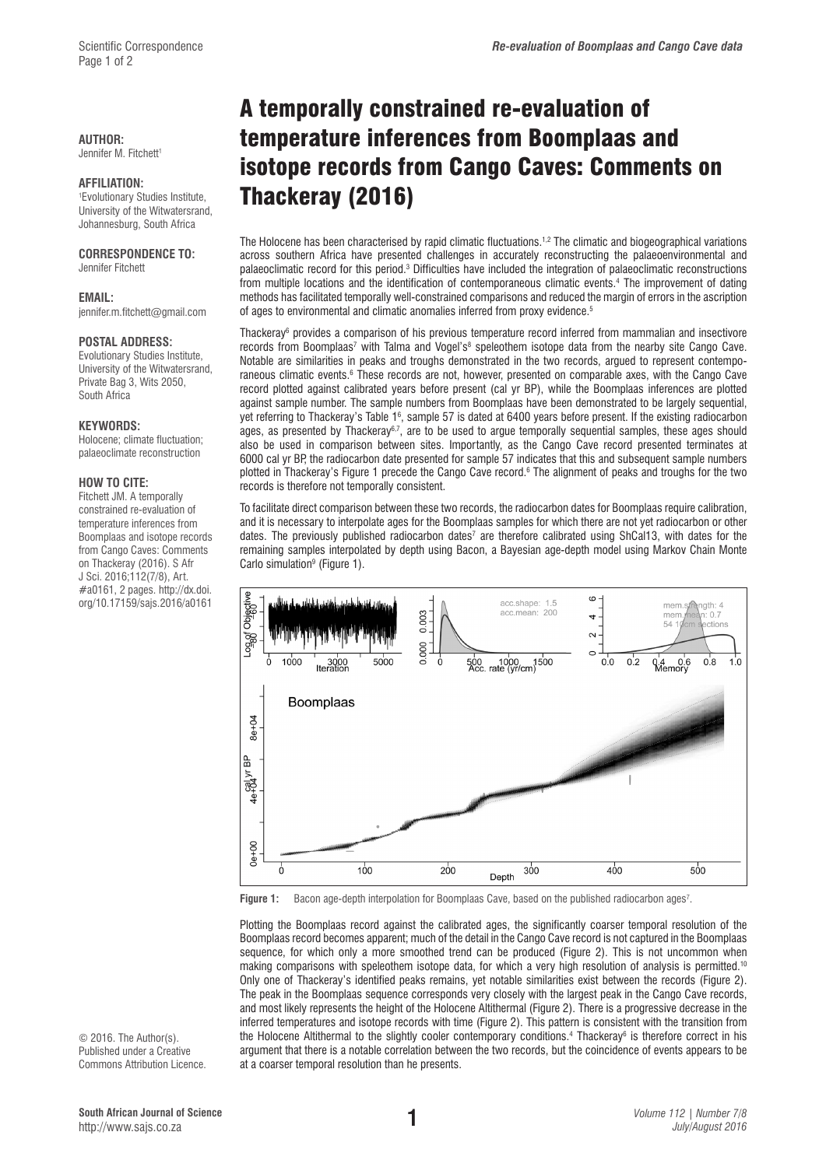### **AUTHOR:**

Jennifer M. Fitchett<sup>1</sup>

### **AFFILIATION:**

1 Evolutionary Studies Institute, University of the Witwatersrand, Johannesburg, South Africa

## **CORRESPONDENCE TO:**

Jennifer Fitchett

#### **EMAIL:**

[jennifer.m.fitchett@gmail.com](mailto:jennifer.m.fitchett@gmail.com)

### **POSTAL ADDRESS:**

Evolutionary Studies Institute, University of the Witwatersrand, Private Bag 3, Wits 2050, South Africa

#### **KEYWORDS:**

Holocene; climate fluctuation; palaeoclimate reconstruction

### **HOW TO CITE:**

Fitchett JM. A temporally constrained re-evaluation of temperature inferences from Boomplaas and isotope records from Cango Caves: Comments on Thackeray (2016). S Afr J Sci. 2016;112(7/8), Art. #a0161, 2 pages. [http://dx.doi.](http://dx.doi.org/10.17159/sajs.2016/a0161) [org/10.17159/sajs.2016/a0161](http://dx.doi.org/10.17159/sajs.2016/a0161)

# A temporally constrained re-evaluation of temperature inferences from Boomplaas and isotope records from Cango Caves: Comments on Thackeray (2016)

The Holocene has been characterised by rapid climatic fluctuations.<sup>1,2</sup> The climatic and biogeographical variations across southern Africa have presented challenges in accurately reconstructing the palaeoenvironmental and palaeoclimatic record for this period.<sup>3</sup> Difficulties have included the integration of palaeoclimatic reconstructions from multiple locations and the identification of contemporaneous climatic events.4 The improvement of dating methods has facilitated temporally well-constrained comparisons and reduced the margin of errors in the ascription of ages to environmental and climatic anomalies inferred from proxy evidence.<sup>5</sup>

Thackeray6 provides a comparison of his previous temperature record inferred from mammalian and insectivore records from Boomplaas<sup>7</sup> with Talma and Vogel's<sup>8</sup> speleothem isotope data from the nearby site Cango Cave. Notable are similarities in peaks and troughs demonstrated in the two records, argued to represent contemporaneous climatic events.<sup>6</sup> These records are not, however, presented on comparable axes, with the Cango Cave record plotted against calibrated years before present (cal yr BP), while the Boomplaas inferences are plotted against sample number. The sample numbers from Boomplaas have been demonstrated to be largely sequential, yet referring to Thackeray's Table 16, sample 57 is dated at 6400 years before present. If the existing radiocarbon ages, as presented by Thackeray<sup>6,7</sup>, are to be used to argue temporally sequential samples, these ages should also be used in comparison between sites. Importantly, as the Cango Cave record presented terminates at 6000 cal yr BP, the radiocarbon date presented for sample 57 indicates that this and subsequent sample numbers plotted in Thackeray's Figure 1 precede the Cango Cave record.<sup>6</sup> The alignment of peaks and troughs for the two records is therefore not temporally consistent.

To facilitate direct comparison between these two records, the radiocarbon dates for Boomplaas require calibration, and it is necessary to interpolate ages for the Boomplaas samples for which there are not yet radiocarbon or other dates. The previously published radiocarbon dates<sup>7</sup> are therefore calibrated using ShCal13, with dates for the remaining samples interpolated by depth using Bacon, a Bayesian age-depth model using Markov Chain Monte Carlo simulation<sup>9</sup> (Figure 1).



**Figure 1:** Bacon age-depth interpolation for Boomplaas Cave, based on the published radiocarbon ages<sup>7</sup>.

Plotting the Boomplaas record against the calibrated ages, the significantly coarser temporal resolution of the Boomplaas record becomes apparent; much of the detail in the Cango Cave record is not captured in the Boomplaas sequence, for which only a more smoothed trend can be produced (Figure 2). This is not uncommon when making comparisons with speleothem isotope data, for which a very high resolution of analysis is permitted.10 Only one of Thackeray's identified peaks remains, yet notable similarities exist between the records (Figure 2). The peak in the Boomplaas sequence corresponds very closely with the largest peak in the Cango Cave records, and most likely represents the height of the Holocene Altithermal (Figure 2). There is a progressive decrease in the inferred temperatures and isotope records with time (Figure 2). This pattern is consistent with the transition from the Holocene Altithermal to the slightly cooler contemporary conditions.<sup>4</sup> Thackeray<sup>6</sup> is therefore correct in his argument that there is a notable correlation between the two records, but the coincidence of events appears to be at a coarser temporal resolution than he presents.

© 2016. The Author(s). Published under a Creative Commons Attribution Licence.